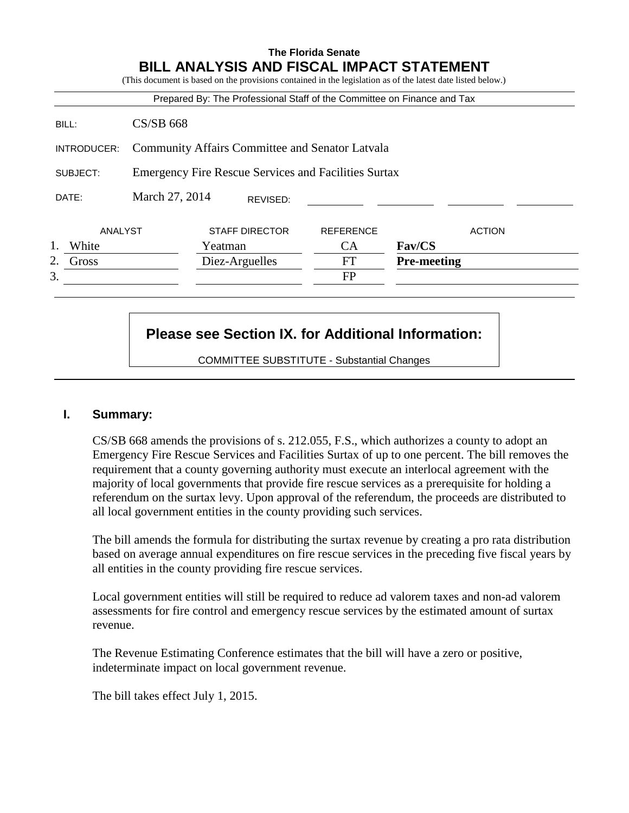## **The Florida Senate BILL ANALYSIS AND FISCAL IMPACT STATEMENT**

|             |                                                             | Prepared By: The Professional Staff of the Committee on Finance and Tax |                  |                    |
|-------------|-------------------------------------------------------------|-------------------------------------------------------------------------|------------------|--------------------|
| BILL:       | $CS/SB$ 668                                                 |                                                                         |                  |                    |
| INTRODUCER: | <b>Community Affairs Committee and Senator Latvala</b>      |                                                                         |                  |                    |
| SUBJECT:    | <b>Emergency Fire Rescue Services and Facilities Surtax</b> |                                                                         |                  |                    |
| DATE:       | March 27, 2014                                              | REVISED:                                                                |                  |                    |
| ANALYST     |                                                             | <b>STAFF DIRECTOR</b>                                                   | <b>REFERENCE</b> | <b>ACTION</b>      |
| White       |                                                             | Yeatman                                                                 | <b>CA</b>        | Fav/CS             |
| 2.<br>Gross |                                                             | Diez-Arguelles                                                          | FT               | <b>Pre-meeting</b> |
| 3.          |                                                             |                                                                         | <b>FP</b>        |                    |

# **Please see Section IX. for Additional Information:**

COMMITTEE SUBSTITUTE - Substantial Changes

#### **I. Summary:**

CS/SB 668 amends the provisions of s. 212.055, F.S., which authorizes a county to adopt an Emergency Fire Rescue Services and Facilities Surtax of up to one percent. The bill removes the requirement that a county governing authority must execute an interlocal agreement with the majority of local governments that provide fire rescue services as a prerequisite for holding a referendum on the surtax levy. Upon approval of the referendum, the proceeds are distributed to all local government entities in the county providing such services.

The bill amends the formula for distributing the surtax revenue by creating a pro rata distribution based on average annual expenditures on fire rescue services in the preceding five fiscal years by all entities in the county providing fire rescue services.

Local government entities will still be required to reduce ad valorem taxes and non-ad valorem assessments for fire control and emergency rescue services by the estimated amount of surtax revenue.

The Revenue Estimating Conference estimates that the bill will have a zero or positive, indeterminate impact on local government revenue.

The bill takes effect July 1, 2015.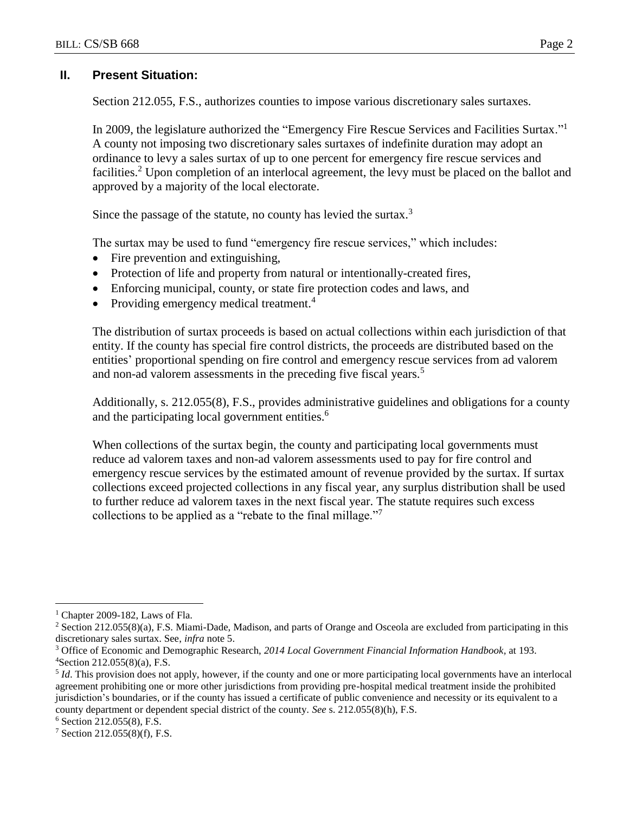### **II. Present Situation:**

Section 212.055, F.S., authorizes counties to impose various discretionary sales surtaxes.

In 2009, the legislature authorized the "Emergency Fire Rescue Services and Facilities Surtax."<sup>1</sup> A county not imposing two discretionary sales surtaxes of indefinite duration may adopt an ordinance to levy a sales surtax of up to one percent for emergency fire rescue services and facilities.<sup>2</sup> Upon completion of an interlocal agreement, the levy must be placed on the ballot and approved by a majority of the local electorate.

Since the passage of the statute, no county has levied the surtax. $3$ 

The surtax may be used to fund "emergency fire rescue services," which includes:

- Fire prevention and extinguishing,
- Protection of life and property from natural or intentionally-created fires,
- Enforcing municipal, county, or state fire protection codes and laws, and
- Providing emergency medical treatment.<sup>4</sup>

The distribution of surtax proceeds is based on actual collections within each jurisdiction of that entity. If the county has special fire control districts, the proceeds are distributed based on the entities' proportional spending on fire control and emergency rescue services from ad valorem and non-ad valorem assessments in the preceding five fiscal years.<sup>5</sup>

Additionally, s. 212.055(8), F.S., provides administrative guidelines and obligations for a county and the participating local government entities.<sup>6</sup>

When collections of the surtax begin, the county and participating local governments must reduce ad valorem taxes and non-ad valorem assessments used to pay for fire control and emergency rescue services by the estimated amount of revenue provided by the surtax. If surtax collections exceed projected collections in any fiscal year, any surplus distribution shall be used to further reduce ad valorem taxes in the next fiscal year. The statute requires such excess collections to be applied as a "rebate to the final millage."<sup>7</sup>

 $\overline{a}$ 

 $1$  Chapter 2009-182, Laws of Fla.

<sup>&</sup>lt;sup>2</sup> Section 212.055(8)(a), F.S. Miami-Dade, Madison, and parts of Orange and Osceola are excluded from participating in this discretionary sales surtax. See, *infra* note 5.

<sup>3</sup> Office of Economic and Demographic Research, *2014 Local Government Financial Information Handbook,* at 193.  ${}^{4}$ Section 212.055(8)(a), F.S.

<sup>5</sup> *Id*. This provision does not apply, however, if the county and one or more participating local governments have an interlocal agreement prohibiting one or more other jurisdictions from providing pre-hospital medical treatment inside the prohibited jurisdiction's boundaries, or if the county has issued a certificate of public convenience and necessity or its equivalent to a county department or dependent special district of the county. *See* s. 212.055(8)(h), F.S.

<sup>6</sup> Section 212.055(8), F.S.

 $7$  Section 212.055(8)(f), F.S.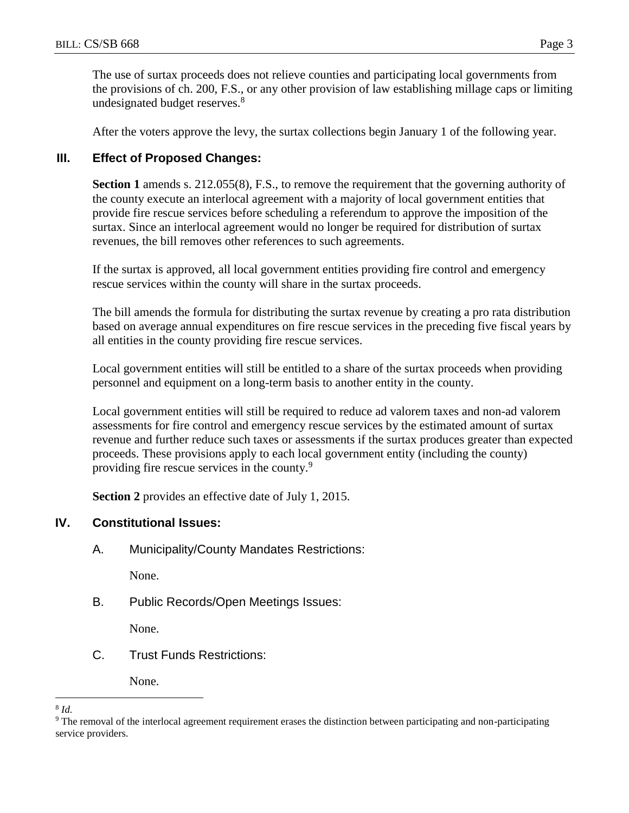The use of surtax proceeds does not relieve counties and participating local governments from the provisions of ch. 200, F.S., or any other provision of law establishing millage caps or limiting undesignated budget reserves.<sup>8</sup>

After the voters approve the levy, the surtax collections begin January 1 of the following year.

### **III. Effect of Proposed Changes:**

**Section 1** amends s. 212.055(8), F.S., to remove the requirement that the governing authority of the county execute an interlocal agreement with a majority of local government entities that provide fire rescue services before scheduling a referendum to approve the imposition of the surtax. Since an interlocal agreement would no longer be required for distribution of surtax revenues, the bill removes other references to such agreements.

If the surtax is approved, all local government entities providing fire control and emergency rescue services within the county will share in the surtax proceeds.

The bill amends the formula for distributing the surtax revenue by creating a pro rata distribution based on average annual expenditures on fire rescue services in the preceding five fiscal years by all entities in the county providing fire rescue services.

Local government entities will still be entitled to a share of the surtax proceeds when providing personnel and equipment on a long-term basis to another entity in the county.

Local government entities will still be required to reduce ad valorem taxes and non-ad valorem assessments for fire control and emergency rescue services by the estimated amount of surtax revenue and further reduce such taxes or assessments if the surtax produces greater than expected proceeds. These provisions apply to each local government entity (including the county) providing fire rescue services in the county.<sup>9</sup>

**Section 2** provides an effective date of July 1, 2015.

#### **IV. Constitutional Issues:**

A. Municipality/County Mandates Restrictions:

None.

B. Public Records/Open Meetings Issues:

None.

C. Trust Funds Restrictions:

None.

 $\overline{a}$ 8 *Id.*

<sup>9</sup> The removal of the interlocal agreement requirement erases the distinction between participating and non-participating service providers.